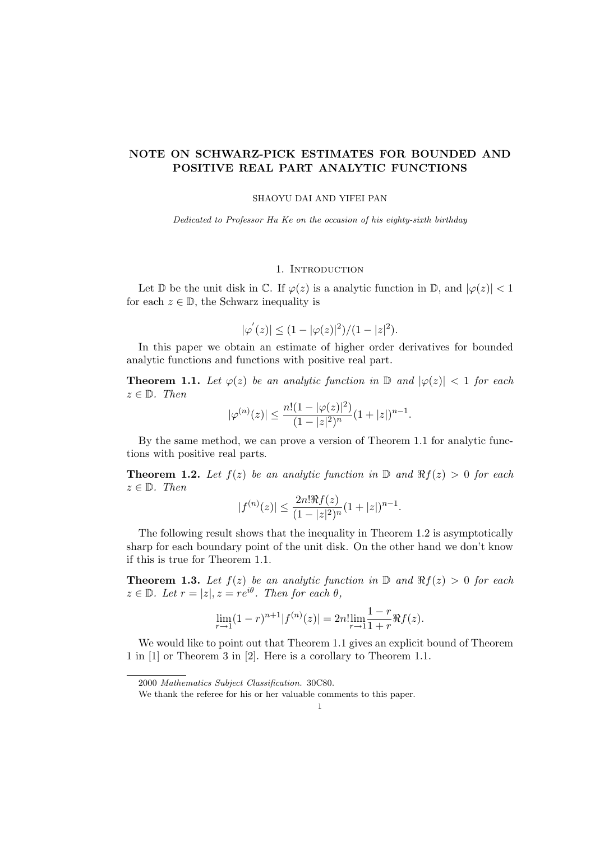# NOTE ON SCHWARZ-PICK ESTIMATES FOR BOUNDED AND POSITIVE REAL PART ANALYTIC FUNCTIONS

#### SHAOYU DAI AND YIFEI PAN

Dedicated to Professor Hu Ke on the occasion of his eighty-sixth birthday

## 1. INTRODUCTION

Let  $\mathbb D$  be the unit disk in  $\mathbb C$ . If  $\varphi(z)$  is a analytic function in  $\mathbb D$ , and  $|\varphi(z)| < 1$ for each  $z \in \mathbb{D}$ , the Schwarz inequality is

$$
|\varphi'(z)| \le (1 - |\varphi(z)|^2)/(1 - |z|^2).
$$

In this paper we obtain an estimate of higher order derivatives for bounded analytic functions and functions with positive real part.

**Theorem 1.1.** Let  $\varphi(z)$  be an analytic function in  $\mathbb{D}$  and  $|\varphi(z)| < 1$  for each  $z \in \mathbb{D}$ . Then

$$
|\varphi^{(n)}(z)| \le \frac{n!(1 - |\varphi(z)|^2)}{(1 - |z|^2)^n} (1 + |z|)^{n-1}.
$$

By the same method, we can prove a version of Theorem 1.1 for analytic functions with positive real parts.

**Theorem 1.2.** Let  $f(z)$  be an analytic function in  $\mathbb{D}$  and  $\Re f(z) > 0$  for each  $z \in \mathbb{D}$ . Then

$$
|f^{(n)}(z)| \le \frac{2n! \Re f(z)}{(1-|z|^2)^n} (1+|z|)^{n-1}.
$$

The following result shows that the inequality in Theorem 1.2 is asymptotically sharp for each boundary point of the unit disk. On the other hand we don't know if this is true for Theorem 1.1.

**Theorem 1.3.** Let  $f(z)$  be an analytic function in  $\mathbb{D}$  and  $\Re f(z) > 0$  for each  $z \in \mathbb{D}$ . Let  $r = |z|, z = re^{i\theta}$ . Then for each  $\theta$ ,

$$
\lim_{r \to 1} (1-r)^{n+1} |f^{(n)}(z)| = 2n! \lim_{r \to 1} \frac{1-r}{1+r} \Re f(z).
$$

We would like to point out that Theorem 1.1 gives an explicit bound of Theorem 1 in [1] or Theorem 3 in [2]. Here is a corollary to Theorem 1.1.

<sup>2000</sup> Mathematics Subject Classification. 30C80.

We thank the referee for his or her valuable comments to this paper.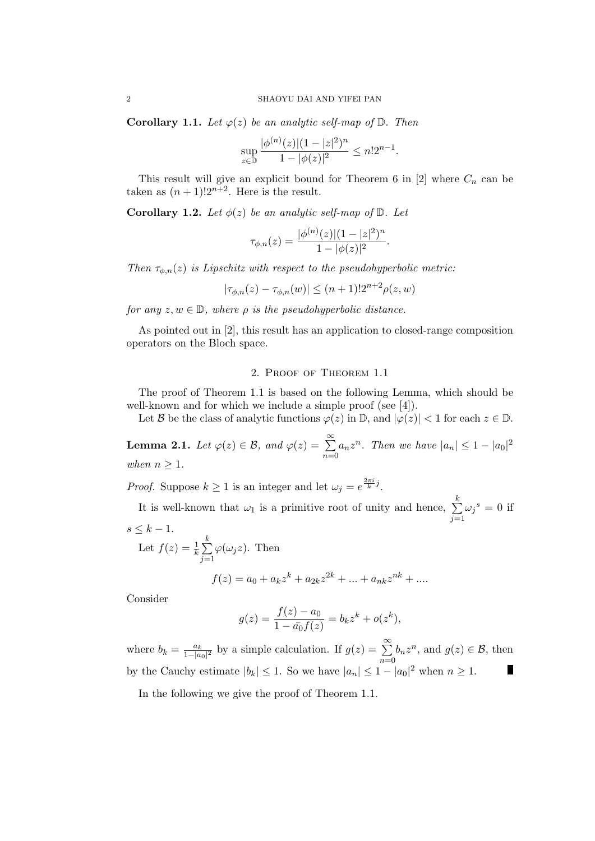**Corollary 1.1.** Let  $\varphi(z)$  be an analytic self-map of  $\mathbb{D}$ . Then

$$
\sup_{z \in \mathbb{D}} \frac{|\phi^{(n)}(z)|(1-|z|^2)^n}{1-|\phi(z)|^2} \le n!2^{n-1}.
$$

This result will give an explicit bound for Theorem 6 in [2] where  $C_n$  can be taken as  $(n + 1)!2^{n+2}$ . Here is the result.

**Corollary 1.2.** Let  $\phi(z)$  be an analytic self-map of  $\mathbb{D}$ . Let

$$
\tau_{\phi,n}(z) = \frac{|\phi^{(n)}(z)|(1-|z|^2)^n}{1-|\phi(z)|^2}.
$$

Then  $\tau_{\phi,n}(z)$  is Lipschitz with respect to the pseudohyperbolic metric:

$$
|\tau_{\phi,n}(z) - \tau_{\phi,n}(w)| \le (n+1)! 2^{n+2} \rho(z,w)
$$

for any  $z, w \in \mathbb{D}$ , where  $\rho$  is the pseudohyperbolic distance.

As pointed out in [2], this result has an application to closed-range composition operators on the Bloch space.

## 2. Proof of Theorem 1.1

The proof of Theorem 1.1 is based on the following Lemma, which should be well-known and for which we include a simple proof (see [4]).

Let B be the class of analytic functions  $\varphi(z)$  in D, and  $|\varphi(z)| < 1$  for each  $z \in \mathbb{D}$ .

**Lemma 2.1.** Let  $\varphi(z) \in \mathcal{B}$ , and  $\varphi(z) = \sum_{n=0}^{\infty}$  $n=0$  $a_n z^n$ . Then we have  $|a_n| \leq 1 - |a_0|^2$ when  $n \geq 1$ .

*Proof.* Suppose  $k \geq 1$  is an integer and let  $\omega_j = e^{\frac{2\pi i}{k}j}$ .

It is well-known that  $\omega_1$  is a primitive root of unity and hence,  $\sum^k$  $j=1$  $\omega_j^s = 0$  if  $s \leq k-1$ . k

Let 
$$
f(z) = \frac{1}{k} \sum_{j=1}^{k} \varphi(\omega_j z)
$$
. Then  

$$
f(z) = a_0 + a_k z^k + a_{2k} z^{2k} + \dots + a_{nk} z^{nk} + \dots
$$

Consider

$$
g(z) = \frac{f(z) - a_0}{1 - \bar{a_0}f(z)} = b_k z^k + o(z^k),
$$

 $rac{a_k}{1-|a_0|^2}$  by a simple calculation. If  $g(z) = \sum_{k=0}^{\infty}$ where  $b_k = \frac{a_k}{1 - |a|}$  $b_n z^n$ , and  $g(z) \in \mathcal{B}$ , then  $n=0$ by the Cauchy estimate  $|b_k| \leq 1$ . So we have  $|a_n| \leq 1 - |a_0|^2$  when  $n \geq 1$ . T

In the following we give the proof of Theorem 1.1.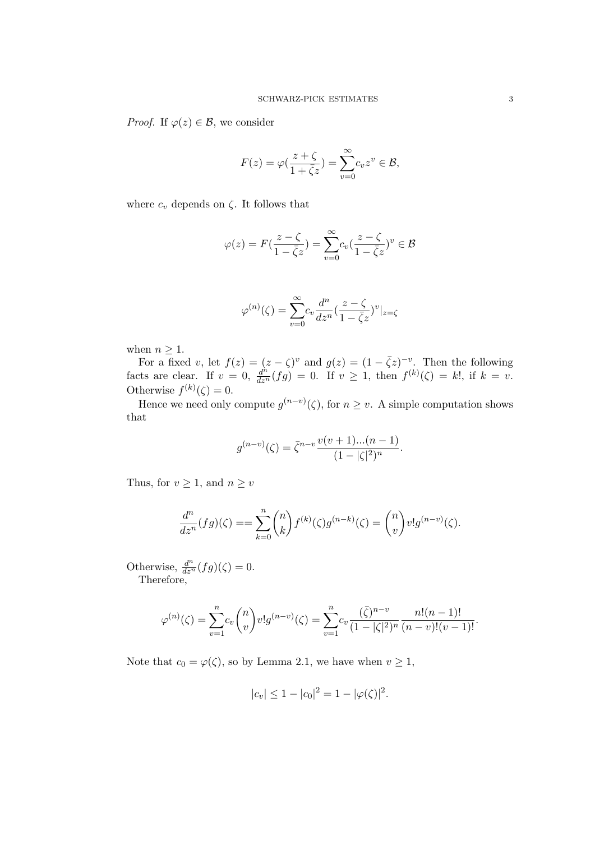*Proof.* If  $\varphi(z) \in \mathcal{B}$ , we consider

$$
F(z) = \varphi\left(\frac{z+\zeta}{1+\bar{\zeta}z}\right) = \sum_{v=0}^{\infty} c_v z^v \in \mathcal{B},
$$

where  $c_v$  depends on  $\zeta$ . It follows that

$$
\varphi(z)=F(\frac{z-\zeta}{1-\bar{\zeta}z})=\sum_{v=0}^{\infty}c_v(\frac{z-\zeta}{1-\bar{\zeta}z})^v\in\mathcal{B}
$$

$$
\varphi^{(n)}(\zeta) = \sum_{v=0}^{\infty} c_v \frac{d^n}{dz^n} \left( \frac{z - \zeta}{1 - \overline{\zeta}z} \right)^v |_{z = \zeta}
$$

when  $n \geq 1$ .

For a fixed v, let  $f(z) = (z - \zeta)^v$  and  $g(z) = (1 - \overline{\zeta}z)^{-v}$ . Then the following facts are clear. If  $v = 0$ ,  $\frac{d^n}{dz^n}(fg) = 0$ . If  $v \ge 1$ , then  $f^{(k)}(\zeta) = k!$ , if  $k = v$ . Otherwise  $f^{(k)}(\zeta) = 0$ .

Hence we need only compute  $g^{(n-v)}(\zeta)$ , for  $n \geq v$ . A simple computation shows that

$$
g^{(n-v)}(\zeta) = \bar{\zeta}^{n-v} \frac{\nu(v+1)...(n-1)}{(1-|\zeta|^2)^n}.
$$

Thus, for  $v \geq 1$ , and  $n \geq v$ 

$$
\frac{d^n}{dz^n}(fg)(\zeta) = \sum_{k=0}^n \binom{n}{k} f^{(k)}(\zeta) g^{(n-k)}(\zeta) = \binom{n}{v} v! g^{(n-v)}(\zeta).
$$

Otherwise,  $\frac{d^n}{dz^n}(fg)(\zeta) = 0.$ Therefore,

$$
\varphi^{(n)}(\zeta) = \sum_{v=1}^{n} c_v \binom{n}{v} v! g^{(n-v)}(\zeta) = \sum_{v=1}^{n} c_v \frac{(\bar{\zeta})^{n-v}}{(1-|\zeta|^2)^n} \frac{n!(n-1)!}{(n-v)!(v-1)!}.
$$

Note that  $c_0 = \varphi(\zeta)$ , so by Lemma 2.1, we have when  $v \ge 1$ ,

$$
|c_v| \le 1 - |c_0|^2 = 1 - |\varphi(\zeta)|^2.
$$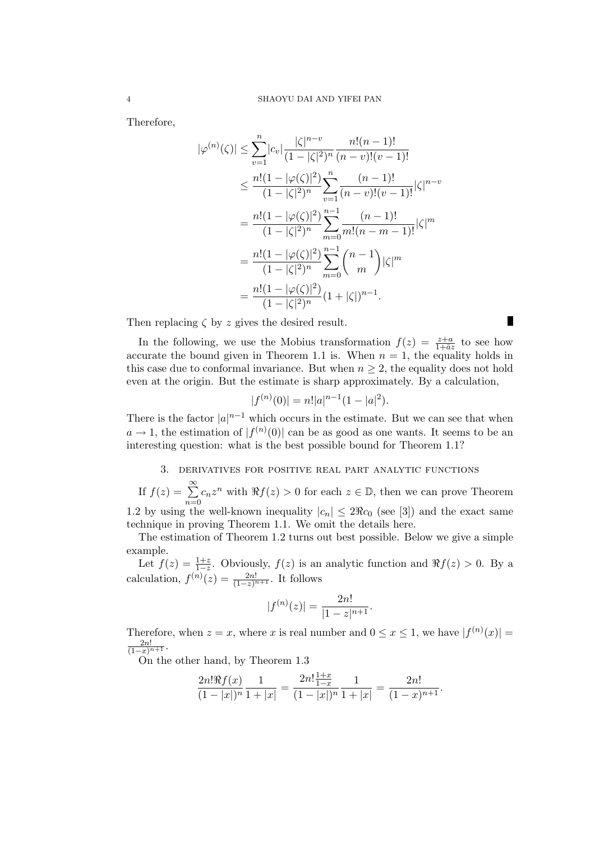Therefore,

$$
|\varphi^{(n)}(\zeta)| \leq \sum_{v=1}^{n} |c_v| \frac{|\zeta|^{n-v}}{(1 - |\zeta|^2)^n} \frac{n!(n-1)!}{(n-v)!(v-1)!}
$$
  
\n
$$
\leq \frac{n!(1 - |\varphi(\zeta)|^2)}{(1 - |\zeta|^2)^n} \sum_{v=1}^{n} \frac{(n-1)!}{(n-v)!(v-1)!} |\zeta|^{n-v}
$$
  
\n
$$
= \frac{n!(1 - |\varphi(\zeta)|^2)}{(1 - |\zeta|^2)^n} \sum_{m=0}^{n-1} \frac{(n-1)!}{m!(n-m-1)!} |\zeta|^m
$$
  
\n
$$
= \frac{n!(1 - |\varphi(\zeta)|^2)}{(1 - |\zeta|^2)^n} \sum_{m=0}^{n-1} {n-1 \choose m} |\zeta|^m
$$
  
\n
$$
= \frac{n!(1 - |\varphi(\zeta)|^2)}{(1 - |\zeta|^2)^n} (1 + |\zeta|)^{n-1}.
$$

Then replacing  $\zeta$  by z gives the desired result.

In the following, we use the Mobius transformation  $f(z) = \frac{z+a}{1+\bar{a}z}$  to see how accurate the bound given in Theorem 1.1 is. When  $n = 1$ , the equality holds in this case due to conformal invariance. But when  $n \geq 2$ , the equality does not hold even at the origin. But the estimate is sharp approximately. By a calculation,

 $\blacksquare$ 

$$
|f^{(n)}(0)| = n!|a|^{n-1}(1-|a|^2).
$$

There is the factor  $|a|^{n-1}$  which occurs in the estimate. But we can see that when  $a \to 1$ , the estimation of  $|f^{(n)}(0)|$  can be as good as one wants. It seems to be an interesting question: what is the best possible bound for Theorem 1.1?

#### 3. derivatives for positive real part analytic functions

If 
$$
f(z) = \sum_{n=0}^{\infty} c_n z^n
$$
 with  $\Re f(z) > 0$  for each  $z \in \mathbb{D}$ , then we can prove Theorem

1.2 by using the well-known inequality  $|c_n| \leq 2\Re c_0$  (see [3]) and the exact same technique in proving Theorem 1.1. We omit the details here.

The estimation of Theorem 1.2 turns out best possible. Below we give a simple example.

Let  $f(z) = \frac{1+z}{1-z}$ . Obviously,  $f(z)$  is an analytic function and  $\Re f(z) > 0$ . By a calculation,  $f^{(n)}(z) = \frac{2n!}{(1-z)^{n+1}}$ . It follows

$$
|f^{(n)}(z)| = \frac{2n!}{|1-z|^{n+1}}.
$$

Therefore, when  $z = x$ , where x is real number and  $0 \le x \le 1$ , we have  $|f^{(n)}(x)| =$  $\frac{2n!}{(1-x)^{n+1}}$ .

On the other hand, by Theorem 1.3

$$
\frac{2n!\Re f(x)}{(1-|x|)^n}\frac{1}{1+|x|}=\frac{2n!\frac{1+x}{1-x}}{(1-|x|)^n}\frac{1}{1+|x|}=\frac{2n!}{(1-x)^{n+1}}.
$$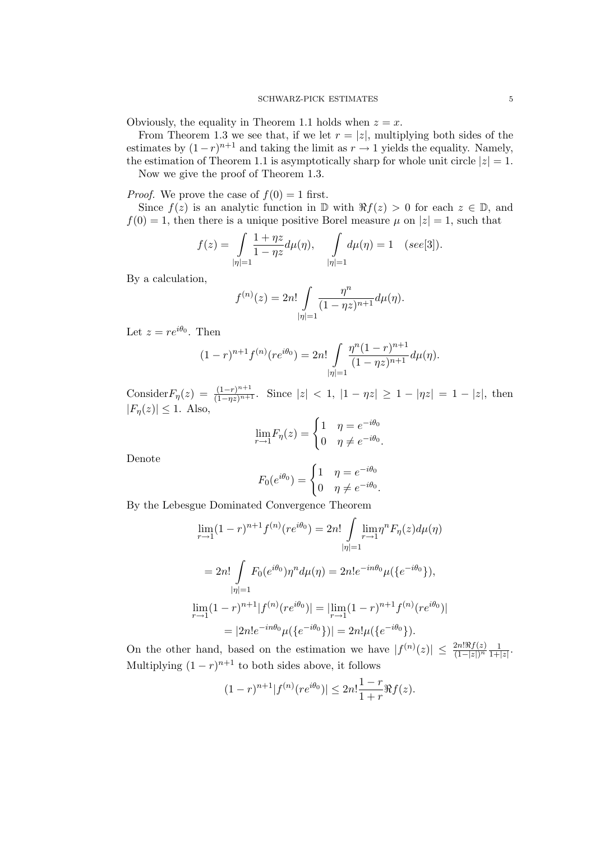Obviously, the equality in Theorem 1.1 holds when  $z = x$ .

From Theorem 1.3 we see that, if we let  $r = |z|$ , multiplying both sides of the estimates by  $(1-r)^{n+1}$  and taking the limit as  $r \to 1$  yields the equality. Namely, the estimation of Theorem 1.1 is asymptotically sharp for whole unit circle  $|z| = 1$ .

Now we give the proof of Theorem 1.3.

*Proof.* We prove the case of  $f(0) = 1$  first.

Since  $f(z)$  is an analytic function in  $\mathbb D$  with  $\Re f(z) > 0$  for each  $z \in \mathbb D$ , and  $f(0) = 1$ , then there is a unique positive Borel measure  $\mu$  on  $|z| = 1$ , such that

$$
f(z) = \int_{|\eta|=1} \frac{1+\eta z}{1-\eta z} d\mu(\eta), \quad \int_{|\eta|=1} d\mu(\eta) = 1 \quad (see [3]).
$$

By a calculation,

$$
f^{(n)}(z) = 2n! \int_{|\eta|=1} \frac{\eta^n}{(1 - \eta z)^{n+1}} d\mu(\eta).
$$

Let  $z = re^{i\theta_0}$ . Then

$$
(1-r)^{n+1} f^{(n)}(re^{i\theta_0}) = 2n! \int_{|\eta|=1} \frac{\eta^n (1-r)^{n+1}}{(1-\eta z)^{n+1}} d\mu(\eta).
$$

Consider  $F_{\eta}(z) = \frac{(1-r)^{n+1}}{(1-\eta z)^{n+1}}$ . Since  $|z| < 1$ ,  $|1-\eta z| \ge 1 - |\eta z| = 1 - |z|$ , then  $|F_n(z)| \leq 1$ . Also,

$$
\lim_{r \to 1} F_{\eta}(z) = \begin{cases} 1 & \eta = e^{-i\theta_0} \\ 0 & \eta \neq e^{-i\theta_0} \end{cases}
$$

Denote

$$
F_0(e^{i\theta_0}) = \begin{cases} 1 & \eta = e^{-i\theta_0} \\ 0 & \eta \neq e^{-i\theta_0} \end{cases}
$$

By the Lebesgue Dominated Convergence Theorem

$$
\lim_{r \to 1} (1-r)^{n+1} f^{(n)}(re^{i\theta_0}) = 2n! \int_{\eta=1}^{\eta} \lim_{r \to 1} \eta^n F_{\eta}(z) d\mu(\eta)
$$

$$
= 2n! \int_{|\eta|=1} F_0(e^{i\theta_0}) \eta^n d\mu(\eta) = 2n! e^{-in\theta_0} \mu(\lbrace e^{-i\theta_0} \rbrace),
$$

$$
\lim_{r \to 1} (1-r)^{n+1} |f^{(n)}(re^{i\theta_0})| = |\lim_{r \to 1} (1-r)^{n+1} f^{(n)}(re^{i\theta_0})|
$$

$$
= |2n! e^{-in\theta_0} \mu(\lbrace e^{-i\theta_0} \rbrace)| = 2n! \mu(\lbrace e^{-i\theta_0} \rbrace).
$$

On the other hand, based on the estimation we have  $|f^{(n)}(z)| \leq \frac{2n! \Re f(z)}{(1-|z|)^n} \frac{1}{1+}$  $\frac{1}{1+|z|}$ . Multiplying  $(1 - r)^{n+1}$  to both sides above, it follows

$$
(1-r)^{n+1}|f^{(n)}(re^{i\theta_0})| \le 2n! \frac{1-r}{1+r} \Re f(z).
$$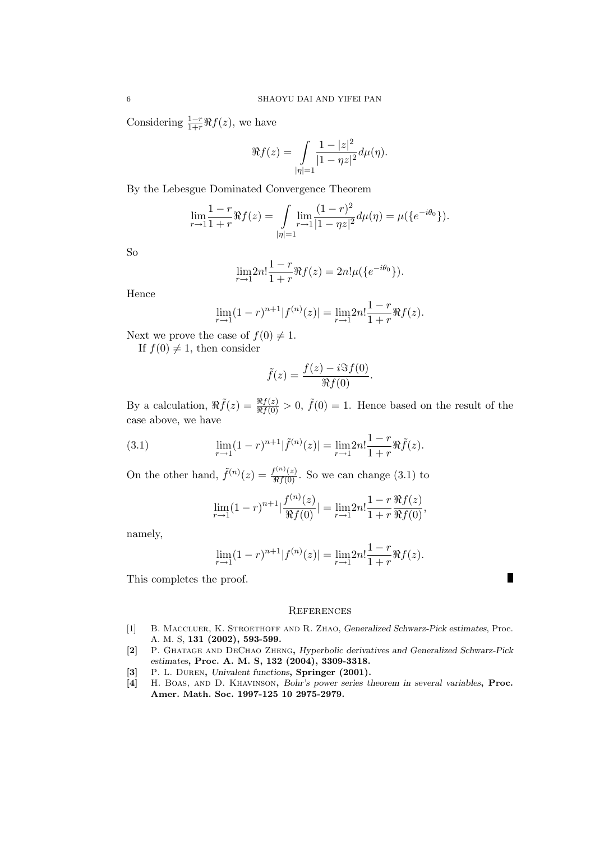Considering  $\frac{1-r}{1+r}\Re f(z)$ , we have

$$
\Re f(z) = \int_{|\eta|=1} \frac{1-|z|^2}{|1-\eta z|^2} d\mu(\eta).
$$

By the Lebesgue Dominated Convergence Theorem

$$
\lim_{r \to 1} \frac{1-r}{1+r} \Re f(z) = \int_{\eta=1}^{\infty} \lim_{r \to 1} \frac{(1-r)^2}{|1-\eta z|^2} d\mu(\eta) = \mu(\lbrace e^{-i\theta_0} \rbrace).
$$

So

$$
\lim_{r \to 1} 2n! \frac{1-r}{1+r} \Re f(z) = 2n! \mu({e^{-i\theta_0}}).
$$

Hence

$$
\lim_{r \to 1} (1-r)^{n+1} |f^{(n)}(z)| = \lim_{r \to 1} 2n! \frac{1-r}{1+r} \Re f(z).
$$

Next we prove the case of  $f(0) \neq 1$ .

If  $f(0) \neq 1$ , then consider

$$
\tilde{f}(z) = \frac{f(z) - i \Im f(0)}{\Re f(0)}.
$$

By a calculation,  $\Re \tilde{f}(z) = \frac{\Re f(z)}{\Re f(0)} > 0$ ,  $\tilde{f}(0) = 1$ . Hence based on the result of the case above, we have

(3.1) 
$$
\lim_{r \to 1} (1-r)^{n+1} |\tilde{f}^{(n)}(z)| = \lim_{r \to 1} 2n! \frac{1-r}{1+r} \Re \tilde{f}(z).
$$

On the other hand,  $\tilde{f}^{(n)}(z) = \frac{f^{(n)}(z)}{\Re f(0)}$ . So we can change (3.1) to

$$
\lim_{r \to 1} (1-r)^{n+1} |\frac{f^{(n)}(z)}{\Re f(0)}| = \lim_{r \to 1} 2n! \frac{1-r}{1+r} \frac{\Re f(z)}{\Re f(0)},
$$

namely,

$$
\lim_{r \to 1} (1-r)^{n+1} |f^{(n)}(z)| = \lim_{r \to 1} 2n! \frac{1-r}{1+r} \Re f(z).
$$

T

This completes the proof.

#### **REFERENCES**

- [1] B. Maccluer, K. Stroethoff and R. Zhao, Generalized Schwarz-Pick estimates, Proc. A. M. S, 131 (2002), 593-599.
- [2] P. Ghatage and DeChao Zheng, Hyperbolic derivatives and Generalized Schwarz-Pick estimates, Proc. A. M. S, 132 (2004), 3309-3318.
- [3] P. L. DUREN, Univalent functions, Springer (2001).
- [4] H. Boas, and D. Khavinson, Bohr's power series theorem in several variables, Proc. Amer. Math. Soc. 1997-125 10 2975-2979.